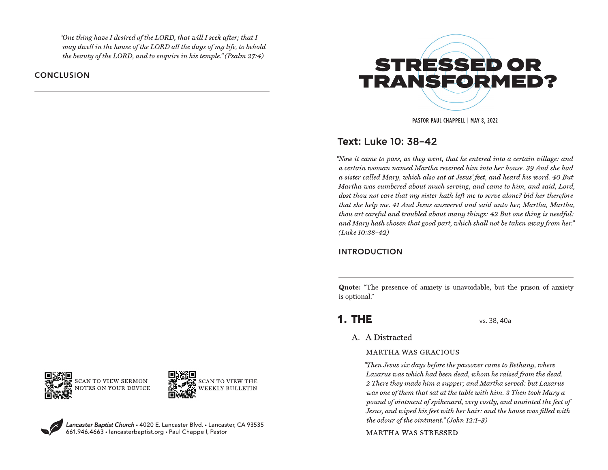"One thing have I desired of the LORD, that will I seek after; that I may dwell in the house of the LORD all the days of my life, to behold the beauty of the LORD, and to enquire in his temple." (Psalm  $27:4$ )

**CONCLUSION** 



PASTOR PAUL CHAPPELL | MAY 8, 2022

## Text: Luke 10: 38-42

"Now it came to pass, as they went, that he entered into a certain village: and a certain woman named Martha received him into her house. 39 And she had a sister called Mary, which also sat at Jesus' feet, and heard his word. 40 But Martha was cumbered about much serving, and came to him, and said, Lord, dost thou not care that my sister hath left me to serve alone? bid her therefore that she help me. 41 And Jesus answered and said unto her, Martha, Martha, thou art careful and troubled about many things: 42 But one thing is needful: and Mary hath chosen that good part, which shall not be taken away from her."  $(Luke 10:38-42)$ 

## **INTRODUCTION**

Quote: "The presence of anxiety is unavoidable, but the prison of anxiety is optional."

- **1. THE**  $\frac{1}{2}$  vs. 38, 40a
	- A. A Distracted

## **MARTHA WAS GRACIOUS**

"Then Jesus six days before the passover came to Bethany, where Lazarus was which had been dead, whom he raised from the dead. 2 There they made him a supper; and Martha served: but Lazarus was one of them that sat at the table with him. 3 Then took Mary a pound of ointment of spikenard, very costly, and anointed the feet of Jesus, and wiped his feet with her hair: and the house was filled with the odour of the ointment." (John  $12:1-3$ )

**MARTHA WAS STRESSED** 





Lancaster Baptist Church • 4020 E. Lancaster Blvd. • Lancaster, CA 93535<br>661.946.4663 • lancasterbaptist.org • Paul Chappell, Pastor